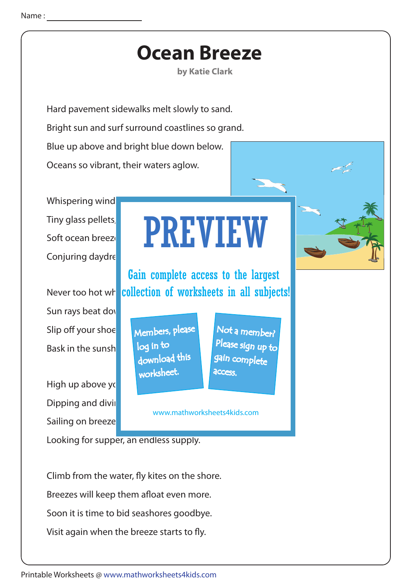## **Ocean Breeze**

**by Katie Clark** 

Hard pavement sidewalks melt slowly to sand. Bright sun and surf surround coastlines so grand. Blue up above and bright blue down below. Oceans so vibrant, their waters aglow.

Whispering wind Tiny glass pellets, Conjuring daydre

Sun rays beat down Slip off your shoesto<mark>m <sub>Members, please</mark></mark></sub> Bask in the sunsh

High up above yo Dipping and divil Sailing on breeze

## Soft ocean breezes send scenario send scenario send scenario send scenario send scenario sending scene PREVIEW

Never too hot wha <mark>collection of worksheets in all subjects!</mark> Gain complete access to the largest

> download this worksheet. log in to

Not a member? gain complete Please sign up to **access** 

www.mathworksheets4kids.com

Looking for supper, an endless supply.

Climb from the water, fly kites on the shore. Breezes will keep them afloat even more. Soon it is time to bid seashores goodbye. Visit again when the breeze starts to fly.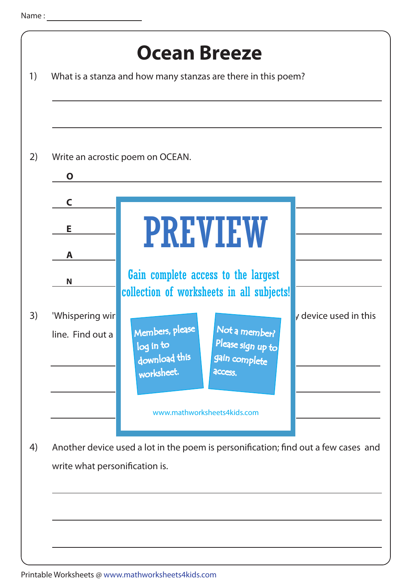